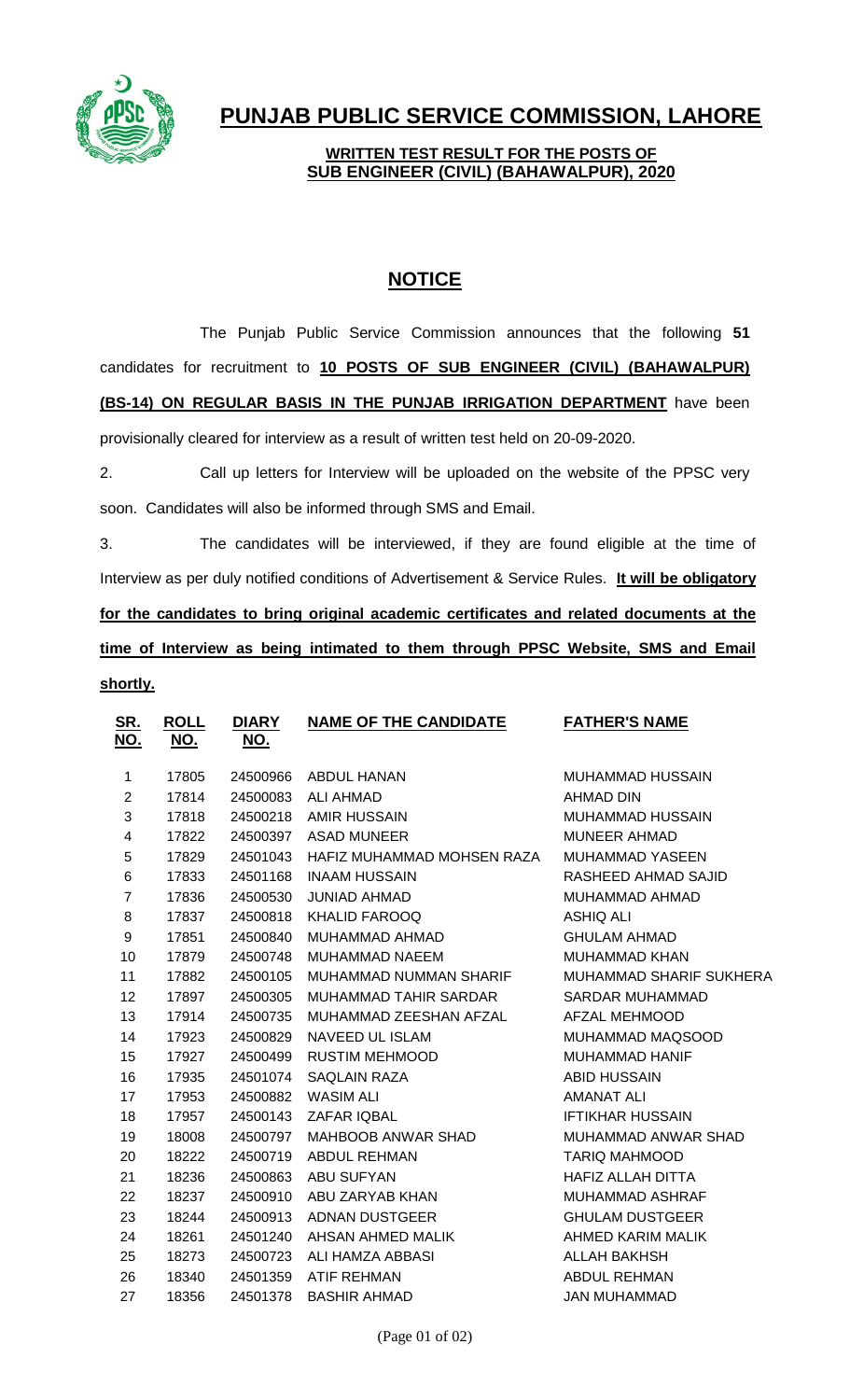

## **PUNJAB PUBLIC SERVICE COMMISSION, LAHORE**

## **WRITTEN TEST RESULT FOR THE POSTS OF SUB ENGINEER (CIVIL) (BAHAWALPUR), 2020**

## **NOTICE**

The Punjab Public Service Commission announces that the following **51** candidates for recruitment to **10 POSTS OF SUB ENGINEER (CIVIL) (BAHAWALPUR) (BS-14) ON REGULAR BASIS IN THE PUNJAB IRRIGATION DEPARTMENT** have been provisionally cleared for interview as a result of written test held on 20-09-2020.

2. Call up letters for Interview will be uploaded on the website of the PPSC very soon. Candidates will also be informed through SMS and Email.

3. The candidates will be interviewed, if they are found eligible at the time of Interview as per duly notified conditions of Advertisement & Service Rules. **It will be obligatory for the candidates to bring original academic certificates and related documents at the time of Interview as being intimated to them through PPSC Website, SMS and Email shortly.**

| <u>SR.</u><br><u>NO.</u> | <b>ROLL</b><br><u>NO.</u> | <b>DIARY</b><br><u>NO.</u> | <b>NAME OF THE CANDIDATE</b> | <b>FATHER'S NAME</b>           |
|--------------------------|---------------------------|----------------------------|------------------------------|--------------------------------|
| 1                        | 17805                     | 24500966                   | <b>ABDUL HANAN</b>           | <b>MUHAMMAD HUSSAIN</b>        |
| $\overline{2}$           | 17814                     | 24500083                   | <b>ALI AHMAD</b>             | <b>AHMAD DIN</b>               |
| 3                        | 17818                     | 24500218                   | <b>AMIR HUSSAIN</b>          | <b>MUHAMMAD HUSSAIN</b>        |
| 4                        | 17822                     | 24500397                   | <b>ASAD MUNEER</b>           | <b>MUNEER AHMAD</b>            |
| 5                        | 17829                     | 24501043                   | HAFIZ MUHAMMAD MOHSEN RAZA   | <b>MUHAMMAD YASEEN</b>         |
| 6                        | 17833                     | 24501168                   | <b>INAAM HUSSAIN</b>         | RASHEED AHMAD SAJID            |
| $\overline{7}$           | 17836                     | 24500530                   | <b>JUNIAD AHMAD</b>          | MUHAMMAD AHMAD                 |
| 8                        | 17837                     | 24500818                   | <b>KHALID FAROOQ</b>         | ASHIQ ALI                      |
| 9                        | 17851                     | 24500840                   | MUHAMMAD AHMAD               | <b>GHULAM AHMAD</b>            |
| 10                       | 17879                     | 24500748                   | <b>MUHAMMAD NAEEM</b>        | <b>MUHAMMAD KHAN</b>           |
| 11                       | 17882                     | 24500105                   | MUHAMMAD NUMMAN SHARIF       | <b>MUHAMMAD SHARIF SUKHERA</b> |
| 12                       | 17897                     | 24500305                   | MUHAMMAD TAHIR SARDAR        | <b>SARDAR MUHAMMAD</b>         |
| 13                       | 17914                     | 24500735                   | MUHAMMAD ZEESHAN AFZAL       | <b>AFZAL MEHMOOD</b>           |
| 14                       | 17923                     | 24500829                   | <b>NAVEED UL ISLAM</b>       | MUHAMMAD MAQSOOD               |
| 15                       | 17927                     | 24500499                   | <b>RUSTIM MEHMOOD</b>        | <b>MUHAMMAD HANIF</b>          |
| 16                       | 17935                     | 24501074                   | <b>SAQLAIN RAZA</b>          | <b>ABID HUSSAIN</b>            |
| 17                       | 17953                     | 24500882                   | <b>WASIM ALI</b>             | <b>AMANAT ALI</b>              |
| 18                       | 17957                     | 24500143                   | <b>ZAFAR IQBAL</b>           | <b>IFTIKHAR HUSSAIN</b>        |
| 19                       | 18008                     | 24500797                   | <b>MAHBOOB ANWAR SHAD</b>    | MUHAMMAD ANWAR SHAD            |
| 20                       | 18222                     | 24500719                   | <b>ABDUL REHMAN</b>          | <b>TARIQ MAHMOOD</b>           |
| 21                       | 18236                     | 24500863                   | <b>ABU SUFYAN</b>            | <b>HAFIZ ALLAH DITTA</b>       |
| 22                       | 18237                     | 24500910                   | ABU ZARYAB KHAN              | MUHAMMAD ASHRAF                |
| 23                       | 18244                     | 24500913                   | <b>ADNAN DUSTGEER</b>        | <b>GHULAM DUSTGEER</b>         |
| 24                       | 18261                     | 24501240                   | AHSAN AHMED MALIK            | AHMED KARIM MALIK              |
| 25                       | 18273                     | 24500723                   | ALI HAMZA ABBASI             | ALLAH BAKHSH                   |
| 26                       | 18340                     | 24501359                   | <b>ATIF REHMAN</b>           | <b>ABDUL REHMAN</b>            |
| 27                       | 18356                     | 24501378                   | <b>BASHIR AHMAD</b>          | <b>JAN MUHAMMAD</b>            |
|                          |                           |                            |                              |                                |